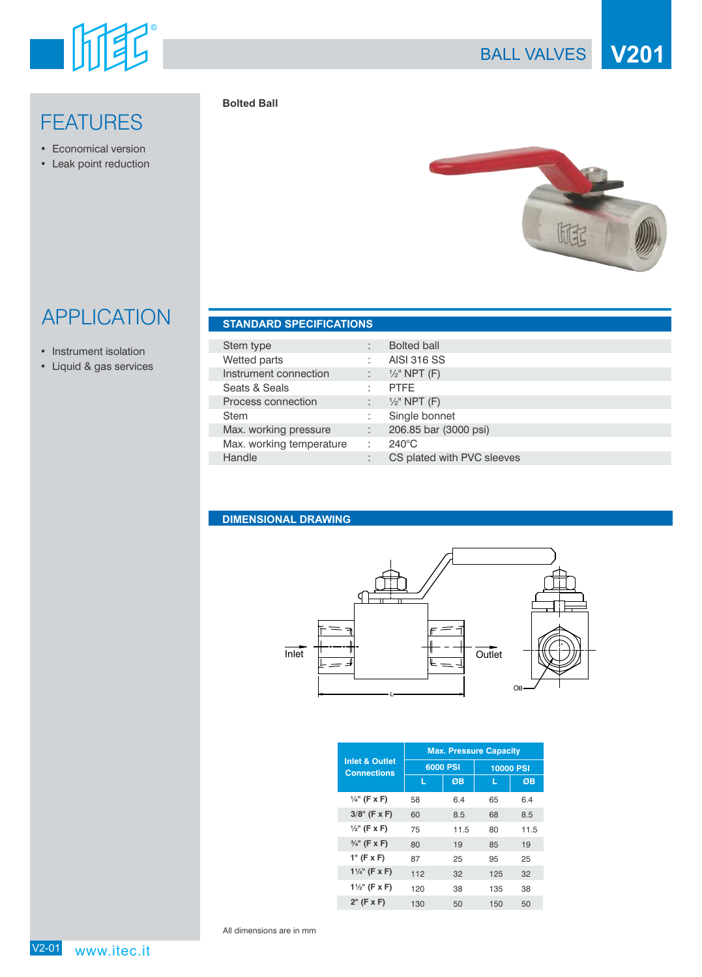

## **FEATURES**

- Economical version
- Leak point reduction





## APPLICATION **STANDARD SPECIFICATIONS**

- Instrument isolation
- Liquid & gas services

| <b>SIANDAND SPECIFICATIONS</b> |  |                    |  |  |  |  |
|--------------------------------|--|--------------------|--|--|--|--|
|                                |  |                    |  |  |  |  |
| Stem type                      |  | <b>Bolted ball</b> |  |  |  |  |
| Mattad narte                   |  | AICI 316 CC        |  |  |  |  |

| Wetted parts             |   | <b>AISI 316 SS</b>         |
|--------------------------|---|----------------------------|
| Instrument connection    | ÷ | $\frac{1}{2}$ " NPT (F)    |
| Seats & Seals            |   | <b>PTFE</b>                |
| Process connection       |   | $\frac{1}{2}$ " NPT (F)    |
| <b>Stem</b>              |   | Single bonnet              |
| Max. working pressure    | ÷ | 206.85 bar (3000 psi)      |
| Max. working temperature |   | $240^{\circ}$ C            |
| Handle                   | ٠ | CS plated with PVC sleeves |

## **DIMENSIONAL DRAWING**



|                                                 | <b>Max. Pressure Capacity</b> |      |                  |      |  |
|-------------------------------------------------|-------------------------------|------|------------------|------|--|
| <b>Inlet &amp; Outlet</b><br><b>Connections</b> | 6000 PSI                      |      | <b>10000 PSI</b> |      |  |
|                                                 | L                             | ØB   | L                | ØB   |  |
| $\frac{1}{4}$ " (F x F)                         | 58                            | 6.4  | 65               | 6.4  |  |
| $3/8$ " (F x F)                                 | 60                            | 8.5  | 68               | 8.5  |  |
| $\frac{1}{2}$ " (F x F)                         | 75                            | 11.5 | 80               | 11.5 |  |
| $\frac{3}{4}$ " (F x F)                         | 80                            | 19   | 85               | 19   |  |
| $1"$ (F x F)                                    | 87                            | 25   | 95               | 25   |  |
| $1\frac{1}{4}$ " (F x F)                        | 112                           | 32   | 125              | 32   |  |
| $1\frac{1}{2}$ " (F x F)                        | 120                           | 38   | 135              | 38   |  |
| $2"$ (F x F)                                    | 130                           | 50   | 150              | 50   |  |

All dimensions are in mm